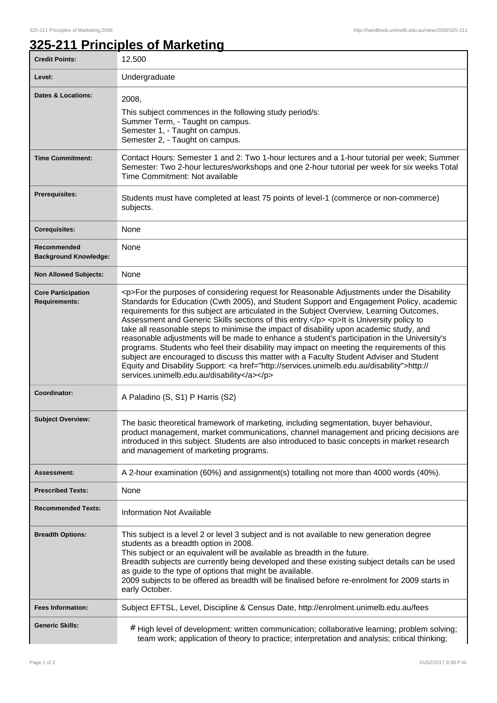## **325-211 Principles of Marketing**

| <b>Credit Points:</b>                             | 12.500                                                                                                                                                                                                                                                                                                                                                                                                                                                                                                                                                                                                                                                                                                                                                                                                                                                                                                                       |
|---------------------------------------------------|------------------------------------------------------------------------------------------------------------------------------------------------------------------------------------------------------------------------------------------------------------------------------------------------------------------------------------------------------------------------------------------------------------------------------------------------------------------------------------------------------------------------------------------------------------------------------------------------------------------------------------------------------------------------------------------------------------------------------------------------------------------------------------------------------------------------------------------------------------------------------------------------------------------------------|
| Level:                                            | Undergraduate                                                                                                                                                                                                                                                                                                                                                                                                                                                                                                                                                                                                                                                                                                                                                                                                                                                                                                                |
| <b>Dates &amp; Locations:</b>                     | 2008,<br>This subject commences in the following study period/s:<br>Summer Term, - Taught on campus.<br>Semester 1, - Taught on campus.<br>Semester 2, - Taught on campus.                                                                                                                                                                                                                                                                                                                                                                                                                                                                                                                                                                                                                                                                                                                                                   |
| <b>Time Commitment:</b>                           | Contact Hours: Semester 1 and 2: Two 1-hour lectures and a 1-hour tutorial per week; Summer<br>Semester: Two 2-hour lectures/workshops and one 2-hour tutorial per week for six weeks Total<br>Time Commitment: Not available                                                                                                                                                                                                                                                                                                                                                                                                                                                                                                                                                                                                                                                                                                |
| <b>Prerequisites:</b>                             | Students must have completed at least 75 points of level-1 (commerce or non-commerce)<br>subjects.                                                                                                                                                                                                                                                                                                                                                                                                                                                                                                                                                                                                                                                                                                                                                                                                                           |
| <b>Corequisites:</b>                              | None                                                                                                                                                                                                                                                                                                                                                                                                                                                                                                                                                                                                                                                                                                                                                                                                                                                                                                                         |
| Recommended<br><b>Background Knowledge:</b>       | None                                                                                                                                                                                                                                                                                                                                                                                                                                                                                                                                                                                                                                                                                                                                                                                                                                                                                                                         |
| <b>Non Allowed Subjects:</b>                      | None                                                                                                                                                                                                                                                                                                                                                                                                                                                                                                                                                                                                                                                                                                                                                                                                                                                                                                                         |
| <b>Core Participation</b><br><b>Requirements:</b> | <p>For the purposes of considering request for Reasonable Adjustments under the Disability<br/>Standards for Education (Cwth 2005), and Student Support and Engagement Policy, academic<br/>requirements for this subject are articulated in the Subject Overview, Learning Outcomes,<br/>Assessment and Generic Skills sections of this entry.</p> <p>lt is University policy to<br/>take all reasonable steps to minimise the impact of disability upon academic study, and<br/>reasonable adjustments will be made to enhance a student's participation in the University's<br/>programs. Students who feel their disability may impact on meeting the requirements of this<br/>subject are encouraged to discuss this matter with a Faculty Student Adviser and Student<br/>Equity and Disability Support: &lt; a href="http://services.unimelb.edu.au/disability"&gt;http://<br/>services.unimelb.edu.au/disability</p> |
| Coordinator:                                      | A Paladino (S, S1) P Harris (S2)                                                                                                                                                                                                                                                                                                                                                                                                                                                                                                                                                                                                                                                                                                                                                                                                                                                                                             |
| <b>Subject Overview:</b>                          | The basic theoretical framework of marketing, including segmentation, buyer behaviour<br>product management, market communications, channel management and pricing decisions are<br>introduced in this subject. Students are also introduced to basic concepts in market research<br>and management of marketing programs.                                                                                                                                                                                                                                                                                                                                                                                                                                                                                                                                                                                                   |
| <b>Assessment:</b>                                | A 2-hour examination (60%) and assignment(s) totalling not more than 4000 words (40%).                                                                                                                                                                                                                                                                                                                                                                                                                                                                                                                                                                                                                                                                                                                                                                                                                                       |
| <b>Prescribed Texts:</b>                          | None                                                                                                                                                                                                                                                                                                                                                                                                                                                                                                                                                                                                                                                                                                                                                                                                                                                                                                                         |
| <b>Recommended Texts:</b>                         | Information Not Available                                                                                                                                                                                                                                                                                                                                                                                                                                                                                                                                                                                                                                                                                                                                                                                                                                                                                                    |
| <b>Breadth Options:</b>                           | This subject is a level 2 or level 3 subject and is not available to new generation degree<br>students as a breadth option in 2008.<br>This subject or an equivalent will be available as breadth in the future.<br>Breadth subjects are currently being developed and these existing subject details can be used<br>as guide to the type of options that might be available.<br>2009 subjects to be offered as breadth will be finalised before re-enrolment for 2009 starts in<br>early October.                                                                                                                                                                                                                                                                                                                                                                                                                           |
| <b>Fees Information:</b>                          | Subject EFTSL, Level, Discipline & Census Date, http://enrolment.unimelb.edu.au/fees                                                                                                                                                                                                                                                                                                                                                                                                                                                                                                                                                                                                                                                                                                                                                                                                                                         |
| <b>Generic Skills:</b>                            | # High level of development: written communication; collaborative learning; problem solving;<br>team work; application of theory to practice; interpretation and analysis; critical thinking;                                                                                                                                                                                                                                                                                                                                                                                                                                                                                                                                                                                                                                                                                                                                |